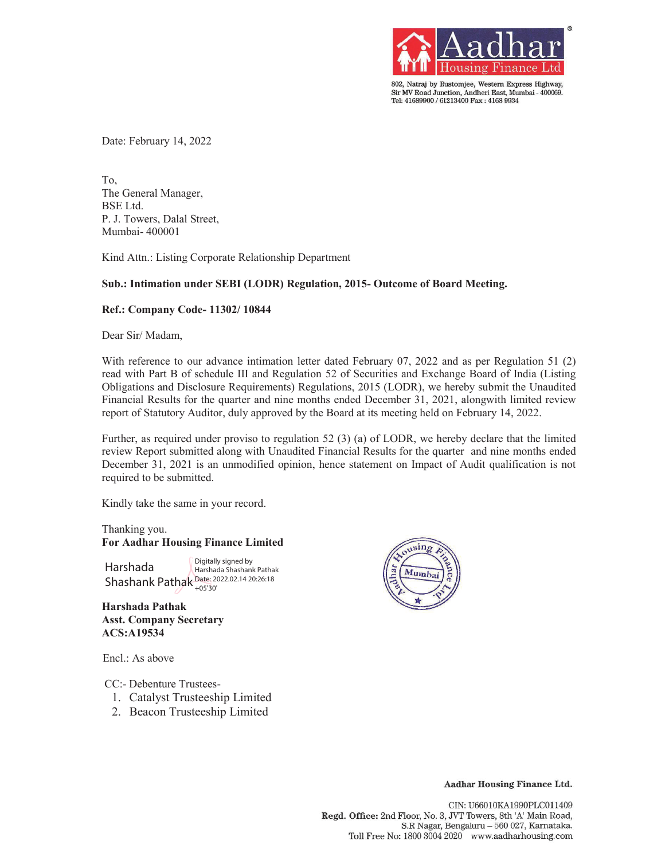

802, Natraj by Rustomjee, Western Express Highway, Sir MV Road Junction, Andheri East, Mumbai - 400069. Tel: 41689900 / 61213400 Fax: 4168 9934

Date: February 14, 2022

To, The General Manager, BSE Ltd. P. J. Towers, Dalal Street, Mumbai- 400001

Kind Attn.: Listing Corporate Relationship Department

### **Sub.: Intimation under SEBI (LODR) Regulation, 2015- Outcome of Board Meeting.**

### **Ref.: Company Code- 11302/ 10844**

Dear Sir/ Madam,

With reference to our advance intimation letter dated February 07, 2022 and as per Regulation 51 (2) read with Part B of schedule III and Regulation 52 of Securities and Exchange Board of India (Listing Obligations and Disclosure Requirements) Regulations, 2015 (LODR), we hereby submit the Unaudited Financial Results for the quarter and nine months ended December 31, 2021, alongwith limited review report of Statutory Auditor, duly approved by the Board at its meeting held on February 14, 2022.

Further, as required under proviso to regulation 52 (3) (a) of LODR, we hereby declare that the limited review Report submitted along with Unaudited Financial Results for the quarter and nine months ended December 31, 2021 is an unmodified opinion, hence statement on Impact of Audit qualification is not required to be submitted.

Kindly take the same in your record.

Thanking you. **For Aadhar Housing Finance Limited** 

Harshada Shashank Pathak Date: 2022.02.14 20:26:18 Digitally signed by Harshada Shashank Pathak +05'30'

**Harshada Pathak Asst. Company Secretary ACS:A19534** 

Encl.: As above

CC:- Debenture Trustees-

- 1. Catalyst Trusteeship Limited
- 2. Beacon Trusteeship Limited



Aadhar Housing Finance Ltd.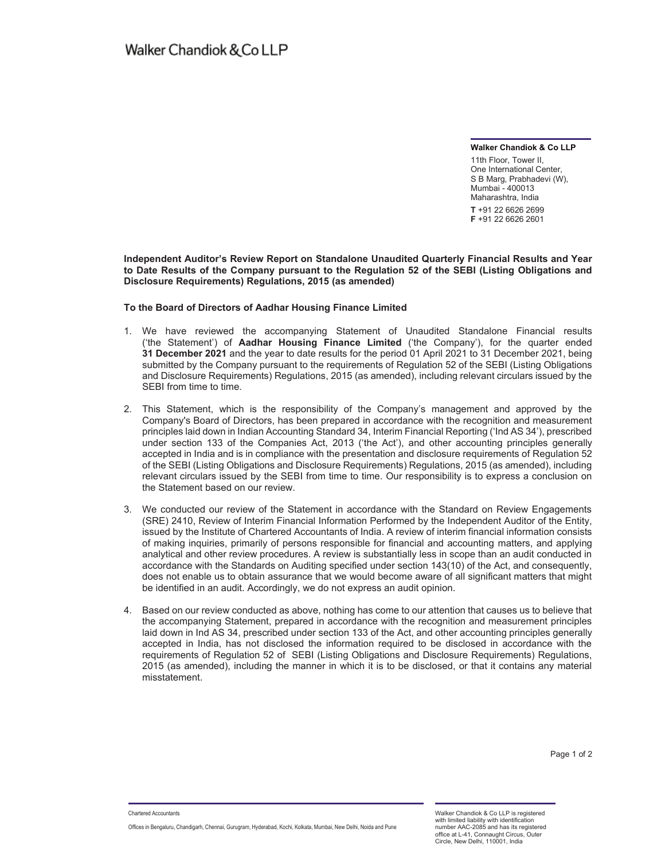**Walker Chandiok & Co LLP**

11th Floor, Tower II, One International Center, S B Marg, Prabhadevi (W), Mumbai - 400013 Maharashtra, India **T** +91 22 6626 2699 **F** +91 22 6626 2601

**Independent Auditor's Review Report on Standalone Unaudited Quarterly Financial Results and Year to Date Results of the Company pursuant to the Regulation 52 of the SEBI (Listing Obligations and Disclosure Requirements) Regulations, 2015 (as amended)**

#### **To the Board of Directors of Aadhar Housing Finance Limited**

- 1. We have reviewed the accompanying Statement of Unaudited Standalone Financial results ('the Statement') of **Aadhar Housing Finance Limited** ('the Company'), for the quarter ended **31 December 2021** and the year to date results for the period 01 April 2021 to 31 December 2021, being submitted by the Company pursuant to the requirements of Regulation 52 of the SEBI (Listing Obligations and Disclosure Requirements) Regulations, 2015 (as amended), including relevant circulars issued by the SEBI from time to time.
- 2. This Statement, which is the responsibility of the Company's management and approved by the Company's Board of Directors, has been prepared in accordance with the recognition and measurement principles laid down in Indian Accounting Standard 34, Interim Financial Reporting ('Ind AS 34'), prescribed under section 133 of the Companies Act, 2013 ('the Act'), and other accounting principles generally accepted in India and is in compliance with the presentation and disclosure requirements of Regulation 52 of the SEBI (Listing Obligations and Disclosure Requirements) Regulations, 2015 (as amended), including relevant circulars issued by the SEBI from time to time. Our responsibility is to express a conclusion on the Statement based on our review.
- 3. We conducted our review of the Statement in accordance with the Standard on Review Engagements (SRE) 2410, Review of Interim Financial Information Performed by the Independent Auditor of the Entity, issued by the Institute of Chartered Accountants of India. A review of interim financial information consists of making inquiries, primarily of persons responsible for financial and accounting matters, and applying analytical and other review procedures. A review is substantially less in scope than an audit conducted in accordance with the Standards on Auditing specified under section 143(10) of the Act, and consequently, does not enable us to obtain assurance that we would become aware of all significant matters that might be identified in an audit. Accordingly, we do not express an audit opinion.
- 4. Based on our review conducted as above, nothing has come to our attention that causes us to believe that the accompanying Statement, prepared in accordance with the recognition and measurement principles laid down in Ind AS 34, prescribed under section 133 of the Act, and other accounting principles generally accepted in India, has not disclosed the information required to be disclosed in accordance with the requirements of Regulation 52 of SEBI (Listing Obligations and Disclosure Requirements) Regulations, 2015 (as amended), including the manner in which it is to be disclosed, or that it contains any material misstatement.

Chartered Accountants

Offices in Bengaluru, Chandigarh, Chennai, Gurugram, Hyderabad, Kochi, Kolkata, Mumbai, New Delhi, Noida and Pune

Walker Chandiok & Co LLP is registered with limited liability with identification number AAC-2085 and has its registered office at L-41, Connaught Circus, Outer Circle, New Delhi, 110001, India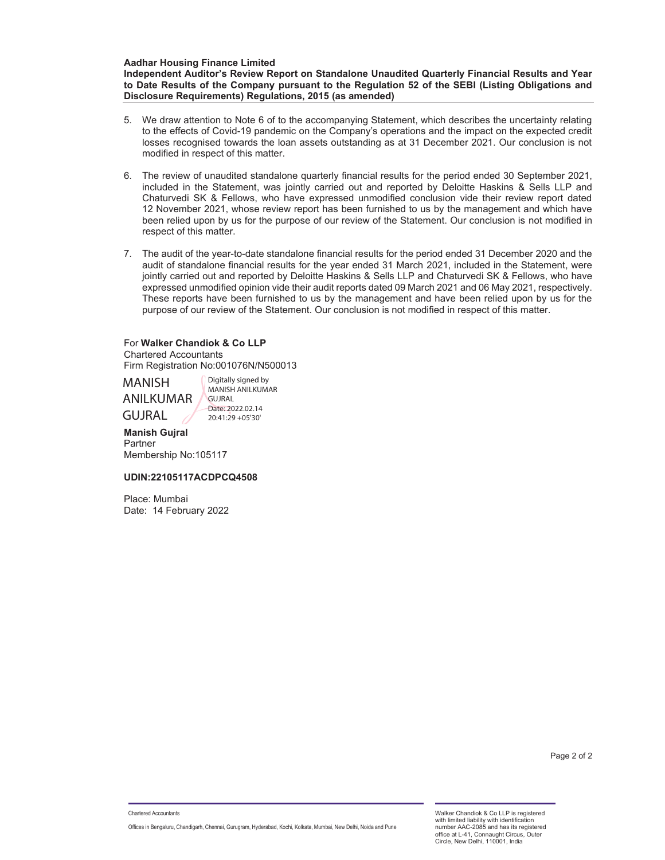**Aadhar Housing Finance Limited Independent Auditor's Review Report on Standalone Unaudited Quarterly Financial Results and Year to Date Results of the Company pursuant to the Regulation 52 of the SEBI (Listing Obligations and Disclosure Requirements) Regulations, 2015 (as amended)**

- 5. We draw attention to Note 6 of to the accompanying Statement, which describes the uncertainty relating to the effects of Covid-19 pandemic on the Company's operations and the impact on the expected credit losses recognised towards the loan assets outstanding as at 31 December 2021. Our conclusion is not modified in respect of this matter.
- 6. The review of unaudited standalone quarterly financial results for the period ended 30 September 2021, included in the Statement, was jointly carried out and reported by Deloitte Haskins & Sells LLP and Chaturvedi SK & Fellows, who have expressed unmodified conclusion vide their review report dated 12 November 2021, whose review report has been furnished to us by the management and which have been relied upon by us for the purpose of our review of the Statement. Our conclusion is not modified in respect of this matter.
- 7. The audit of the year-to-date standalone financial results for the period ended 31 December 2020 and the audit of standalone financial results for the year ended 31 March 2021, included in the Statement, were jointly carried out and reported by Deloitte Haskins & Sells LLP and Chaturvedi SK & Fellows, who have expressed unmodified opinion vide their audit reports dated 09 March 2021 and 06 May 2021, respectively. These reports have been furnished to us by the management and have been relied upon by us for the purpose of our review of the Statement. Our conclusion is not modified in respect of this matter.

## For **Walker Chandiok & Co LLP**  Chartered Accountants

Firm Registration No:001076N/N500013

### MANISH ANILKUMAR GUJRAL Digitally signed by

MANISH ANILKUMAR GUJRAL Date: 2022.02.14 20:41:29 +05'30'

#### **Manish Gujral**  Partner

Membership No:105117

### **UDIN:22105117ACDPCQ4508**

Place: Mumbai Date: 14 February 2022

Walker Chandiok & Co LLP is registered with limited liability with identification number AAC-2085 and has its registered office at L-41, Connaught Circus, Outer Circle, New Delhi, 110001, India

Chartered Accountants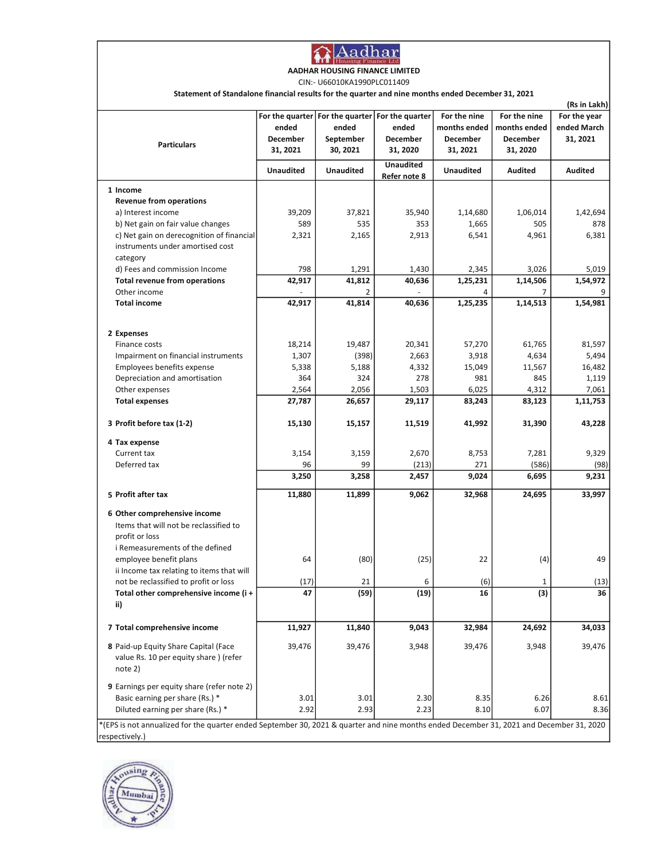

AADHAR HOUSING FINANCE LIMITED

CIN:- U66010KA1990PLC011409

Statement of Standalone financial results for the quarter and nine months ended December 31, 2021

|                                                                                                                                                            |                               |                                                                     |                                                  |                                                      |                                                      | (Rs in Lakh)                            |
|------------------------------------------------------------------------------------------------------------------------------------------------------------|-------------------------------|---------------------------------------------------------------------|--------------------------------------------------|------------------------------------------------------|------------------------------------------------------|-----------------------------------------|
| <b>Particulars</b>                                                                                                                                         | ended<br>December<br>31, 2021 | For the quarter   For the quarter<br>ended<br>September<br>30, 2021 | For the quarter<br>ended<br>December<br>31, 2020 | For the nine<br>months ended<br>December<br>31, 2021 | For the nine<br>months ended<br>December<br>31, 2020 | For the year<br>ended March<br>31, 2021 |
|                                                                                                                                                            | <b>Unaudited</b>              | <b>Unaudited</b>                                                    | <b>Unaudited</b><br>Refer note 8                 | <b>Unaudited</b>                                     | Audited                                              | Audited                                 |
| 1 Income                                                                                                                                                   |                               |                                                                     |                                                  |                                                      |                                                      |                                         |
| <b>Revenue from operations</b>                                                                                                                             |                               |                                                                     |                                                  |                                                      |                                                      |                                         |
| a) Interest income                                                                                                                                         | 39,209                        | 37,821                                                              | 35,940                                           | 1,14,680                                             | 1,06,014                                             | 1,42,694                                |
| b) Net gain on fair value changes                                                                                                                          | 589                           | 535                                                                 | 353                                              | 1,665                                                | 505                                                  | 878                                     |
| c) Net gain on derecognition of financial                                                                                                                  | 2,321                         | 2,165                                                               | 2,913                                            | 6,541                                                | 4,961                                                | 6,381                                   |
| instruments under amortised cost<br>category                                                                                                               |                               |                                                                     |                                                  |                                                      |                                                      |                                         |
| d) Fees and commission Income                                                                                                                              | 798                           | 1,291                                                               | 1,430                                            | 2,345                                                | 3,026                                                | 5,019                                   |
| Total revenue from operations                                                                                                                              | 42,917                        | 41,812                                                              | 40,636                                           | 1,25,231                                             | 1,14,506                                             | 1,54,972                                |
| Other income                                                                                                                                               |                               | 2                                                                   |                                                  | 4                                                    | 7                                                    |                                         |
| <b>Total income</b>                                                                                                                                        | 42,917                        | 41,814                                                              | 40,636                                           | 1,25,235                                             | 1,14,513                                             | 1,54,981                                |
| 2 Expenses                                                                                                                                                 |                               |                                                                     |                                                  |                                                      |                                                      |                                         |
| Finance costs                                                                                                                                              | 18,214                        | 19,487                                                              | 20,341                                           | 57,270                                               | 61,765                                               | 81,597                                  |
| Impairment on financial instruments                                                                                                                        | 1,307                         | (398)                                                               | 2,663                                            | 3,918                                                | 4,634                                                | 5,494                                   |
| Employees benefits expense                                                                                                                                 | 5,338                         | 5,188                                                               | 4,332                                            | 15,049                                               | 11,567                                               | 16,482                                  |
| Depreciation and amortisation                                                                                                                              | 364                           | 324                                                                 | 278                                              | 981                                                  | 845                                                  | 1,119                                   |
| Other expenses                                                                                                                                             | 2,564                         | 2,056                                                               | 1,503                                            | 6,025                                                | 4,312                                                | 7,061                                   |
| <b>Total expenses</b>                                                                                                                                      | 27,787                        | 26,657                                                              | 29,117                                           | 83,243                                               | 83,123                                               | 1,11,753                                |
| 3 Profit before tax (1-2)                                                                                                                                  | 15,130                        | 15,157                                                              | 11,519                                           | 41,992                                               | 31,390                                               | 43,228                                  |
| 4 Tax expense                                                                                                                                              |                               |                                                                     |                                                  |                                                      |                                                      |                                         |
| Current tax                                                                                                                                                | 3,154                         | 3,159                                                               | 2,670                                            | 8,753                                                | 7,281                                                | 9,329                                   |
| Deferred tax                                                                                                                                               | 96                            | 99                                                                  | (213)                                            | 271                                                  | (586)                                                | (98)                                    |
|                                                                                                                                                            | 3,250                         | 3,258                                                               | 2,457                                            | 9,024                                                | 6,695                                                | 9,231                                   |
| 5 Profit after tax                                                                                                                                         | 11,880                        | 11,899                                                              | 9,062                                            | 32,968                                               | 24,695                                               | 33,997                                  |
| 6 Other comprehensive income                                                                                                                               |                               |                                                                     |                                                  |                                                      |                                                      |                                         |
| Items that will not be reclassified to                                                                                                                     |                               |                                                                     |                                                  |                                                      |                                                      |                                         |
| profit or loss                                                                                                                                             |                               |                                                                     |                                                  |                                                      |                                                      |                                         |
| i Remeasurements of the defined                                                                                                                            |                               |                                                                     |                                                  |                                                      |                                                      |                                         |
| employee benefit plans                                                                                                                                     | 64                            | (80)                                                                | (25)                                             | 22                                                   | (4)                                                  | 49                                      |
| ii Income tax relating to items that will                                                                                                                  |                               |                                                                     |                                                  |                                                      |                                                      |                                         |
| not be reclassified to profit or loss                                                                                                                      | (17)                          | 21                                                                  | 6                                                | (6)                                                  | 1                                                    | (13)                                    |
| Total other comprehensive income (i +                                                                                                                      | 47                            | (59)                                                                | (19)                                             | 16                                                   | (3)                                                  | 36                                      |
| ii)                                                                                                                                                        |                               |                                                                     |                                                  |                                                      |                                                      |                                         |
| 7 Total comprehensive income                                                                                                                               | 11,927                        | 11,840                                                              | 9,043                                            | 32,984                                               | 24,692                                               | 34,033                                  |
| 8 Paid-up Equity Share Capital (Face<br>value Rs. 10 per equity share ) (refer<br>note 2)                                                                  | 39,476                        | 39,476                                                              | 3,948                                            | 39,476                                               | 3,948                                                | 39,476                                  |
| 9 Earnings per equity share (refer note 2)                                                                                                                 |                               |                                                                     |                                                  |                                                      |                                                      |                                         |
| Basic earning per share (Rs.) *                                                                                                                            | 3.01                          | 3.01                                                                | 2.30                                             | 8.35                                                 | 6.26                                                 | 8.61                                    |
| Diluted earning per share (Rs.) *                                                                                                                          | 2.92                          | 2.93                                                                | 2.23                                             | 8.10                                                 | 6.07                                                 | 8.36                                    |
| *(EPS is not annualized for the quarter ended September 30, 2021 & quarter and nine months ended December 31, 2021 and December 31, 2020<br>respectively.) |                               |                                                                     |                                                  |                                                      |                                                      |                                         |

ousing Mumbai **Ab**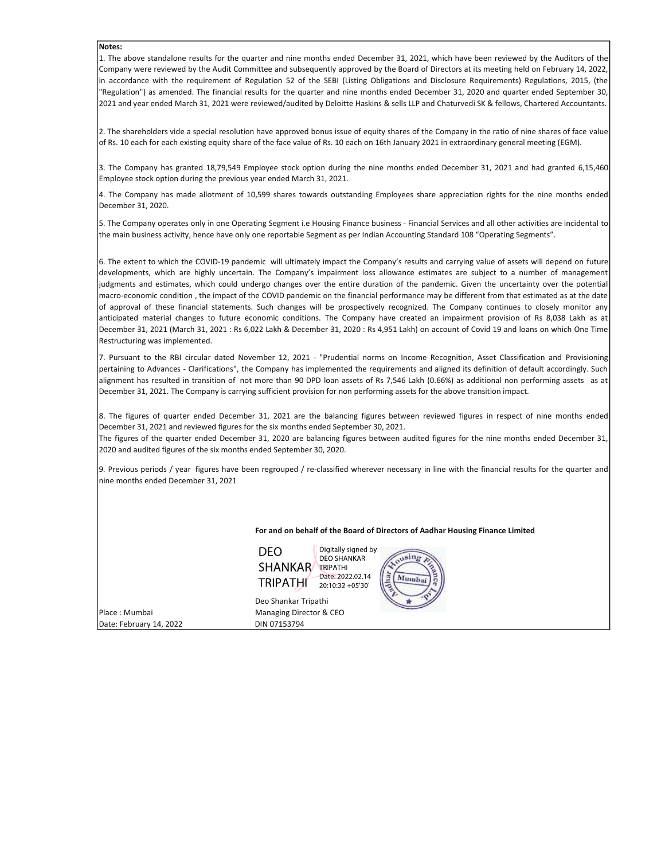#### Notes:

1. The above standalone results for the quarter and nine months ended December 31, 2021, which have been reviewed by the Auditors of the Company were reviewed by the Audit Committee and subsequently approved by the Board of Directors at its meeting held on February 14, 2022, in accordance with the requirement of Regulation 52 of the SEBI (Listing Obligations and Disclosure Requirements) Regulations, 2015, (the "Regulation") as amended. The financial results for the quarter and nine months ended December 31, 2020 and quarter ended September 30, 2021 and year ended March 31, 2021 were reviewed/audited by Deloitte Haskins & sells LLP and Chaturvedi SK & fellows, Chartered Accountants.

2. The shareholders vide a special resolution have approved bonus issue of equity shares of the Company in the ratio of nine shares of face value of Rs. 10 each for each existing equity share of the face value of Rs. 10 each on 16th January 2021 in extraordinary general meeting (EGM).

3. The Company has granted 18,79,549 Employee stock option during the nine months ended December 31, 2021 and had granted 6,15,460 Employee stock option during the previous year ended March 31, 2021.

4. The Company has made allotment of 10,599 shares towards outstanding Employees share appreciation rights for the nine months ended December 31, 2020.

5. The Company operates only in one Operating Segment i.e Housing Finance business - Financial Services and all other activities are incidental to the main business activity, hence have only one reportable Segment as per Indian Accounting Standard 108 "Operating Segments".

6. The extent to which the COVID-19 pandemic will ultimately impact the Company's results and carrying value of assets will depend on future developments, which are highly uncertain. The Company's impairment loss allowance estimates are subject to a number of management judgments and estimates, which could undergo changes over the entire duration of the pandemic. Given the uncertainty over the potential macro-economic condition , the impact of the COVID pandemic on the financial performance may be different from that estimated as at the date of approval of these financial statements. Such changes will be prospectively recognized. The Company continues to closely monitor any anticipated material changes to future economic conditions. The Company have created an impairment provision of Rs 8,038 Lakh as at December 31, 2021 (March 31, 2021 : Rs 6,022 Lakh & December 31, 2020 : Rs 4,951 Lakh) on account of Covid 19 and loans on which One Time Restructuring was implemented.

7. Pursuant to the RBI circular dated November 12, 2021 - "Prudential norms on Income Recognition, Asset Classification and Provisioning pertaining to Advances - Clarifications", the Company has implemented the requirements and aligned its definition of default accordingly. Such alignment has resulted in transition of not more than 90 DPD loan assets of Rs 7,546 Lakh (0.66%) as additional non performing assets as at December 31, 2021. The Company is carrying sufficient provision for non performing assets for the above transition impact.

8. The figures of quarter ended December 31, 2021 are the balancing figures between reviewed figures in respect of nine months ended December 31, 2021 and reviewed figures for the six months ended September 30, 2021.

The figures of the quarter ended December 31, 2020 are balancing figures between audited figures for the nine months ended December 31, 2020 and audited figures of the six months ended September 30, 2020.

9. Previous periods / year figures have been regrouped / re-classified wherever necessary in line with the financial results for the quarter and nine months ended December 31, 2021

For and on behalf of the Board of Directors of Aadhar Housing Finance Limited

Digitally signed by DEO **DEO SHANKAR SHANKAR** TRIPATHI Date: 2022.02.14 **TRIPATHI** 20:10:32 +05'30'

Date: February 14, 2022 DIN 07153794

Deo Shankar Tripathi Place : Mumbai Managing Director & CEO

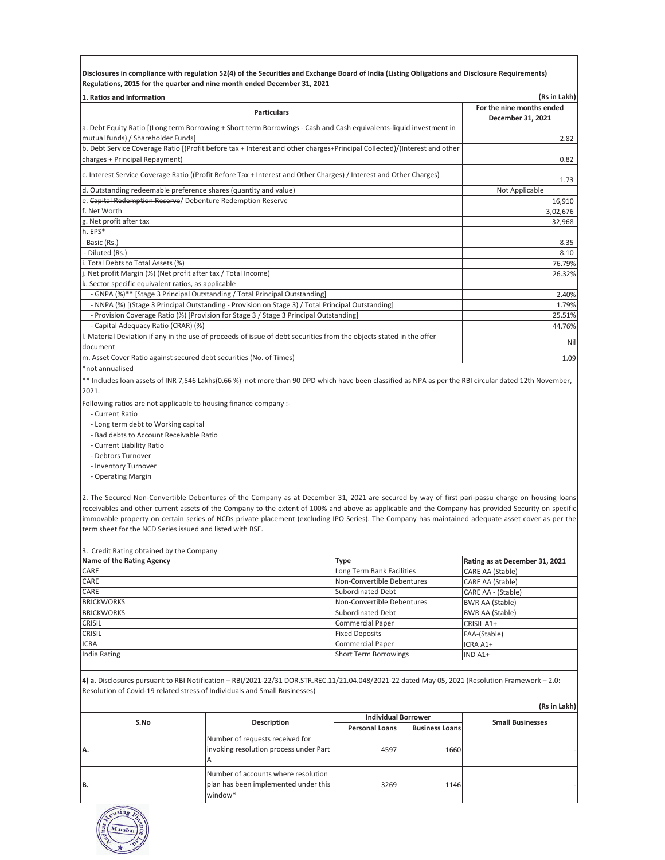**Disclosures in compliance with regulation 52(4) of the Securities and Exchange Board of India (Listing Obligations and Disclosure Requirements) Regulations, 2015 for the quarter and nine month ended December 31, 2021**

| 1. Ratios and Information<br>(Rs in Lakh)                                                                                |                           |  |  |
|--------------------------------------------------------------------------------------------------------------------------|---------------------------|--|--|
| <b>Particulars</b>                                                                                                       | For the nine months ended |  |  |
|                                                                                                                          | December 31, 2021         |  |  |
| a. Debt Equity Ratio [(Long term Borrowing + Short term Borrowings - Cash and Cash equivalents-liquid investment in      |                           |  |  |
| mutual funds) / Shareholder Funds]                                                                                       | 2.82                      |  |  |
| b. Debt Service Coverage Ratio [(Profit before tax + Interest and other charges+Principal Collected)/(Interest and other |                           |  |  |
| charges + Principal Repayment)                                                                                           | 0.82                      |  |  |
| c. Interest Service Coverage Ratio ((Profit Before Tax + Interest and Other Charges) / Interest and Other Charges)       | 1.73                      |  |  |
| d. Outstanding redeemable preference shares (quantity and value)                                                         | Not Applicable            |  |  |
| e. Capital Redemption Reserve/ Debenture Redemption Reserve                                                              | 16,910                    |  |  |
| f. Net Worth                                                                                                             | 3,02,676                  |  |  |
| g. Net profit after tax                                                                                                  | 32,968                    |  |  |
| h. EPS*                                                                                                                  |                           |  |  |
| Basic (Rs.)                                                                                                              | 8.35                      |  |  |
| - Diluted (Rs.)                                                                                                          | 8.10                      |  |  |
| i. Total Debts to Total Assets (%)                                                                                       | 76.79%                    |  |  |
| j. Net profit Margin (%) (Net profit after tax / Total Income)                                                           | 26.32%                    |  |  |
| k. Sector specific equivalent ratios, as applicable                                                                      |                           |  |  |
| - GNPA (%)** [Stage 3 Principal Outstanding / Total Principal Outstanding]                                               | 2.40%                     |  |  |
| - NNPA (%) [(Stage 3 Principal Outstanding - Provision on Stage 3) / Total Principal Outstanding]                        | 1.79%                     |  |  |
| - Provision Coverage Ratio (%) [Provision for Stage 3 / Stage 3 Principal Outstanding]                                   | 25.51%                    |  |  |
| - Capital Adequacy Ratio (CRAR) (%)                                                                                      | 44.76%                    |  |  |
| I. Material Deviation if any in the use of proceeds of issue of debt securities from the objects stated in the offer     |                           |  |  |
| document                                                                                                                 | Nil                       |  |  |
| m. Asset Cover Ratio against secured debt securities (No. of Times)                                                      | 1.09                      |  |  |

\*not annualised

\*\* Includes loan assets of INR 7,546 Lakhs(0.66 %) not more than 90 DPD which have been classified as NPA as per the RBI circular dated 12th November, 2021.

Following ratios are not applicable to housing finance company :-

- Current Ratio
- Long term debt to Working capital
- Bad debts to Account Receivable Ratio
- Current Liability Ratio
- Debtors Turnover
- Inventory Turnover
- Operating Margin

2. The Secured Non-Convertible Debentures of the Company as at December 31, 2021 are secured by way of first pari-passu charge on housing loans receivables and other current assets of the Company to the extent of 100% and above as applicable and the Company has provided Security on specific immovable property on certain series of NCDs private placement (excluding IPO Series). The Company has maintained adequate asset cover as per the term sheet for the NCD Series issued and listed with BSE.

3. Credit Rating obtained by the Company

| Name of the Rating Agency | <b>Type</b>                | Rating as at December 31, 2021 |
|---------------------------|----------------------------|--------------------------------|
| CARE                      | Long Term Bank Facilities  | CARE AA (Stable)               |
| CARE                      | Non-Convertible Debentures | CARE AA (Stable)               |
| CARE                      | Subordinated Debt          | CARE AA - (Stable)             |
| <b>BRICKWORKS</b>         | Non-Convertible Debentures | <b>BWR AA (Stable)</b>         |
| <b>BRICKWORKS</b>         | Subordinated Debt          | <b>BWR AA (Stable)</b>         |
| <b>CRISIL</b>             | Commercial Paper           | CRISIL A1+                     |
| <b>CRISIL</b>             | <b>Fixed Deposits</b>      | FAA-(Stable)                   |
| <b>ICRA</b>               | Commercial Paper           | ICRA A1+                       |
| India Rating              | Short Term Borrowings      | IND A1+                        |

**4) a.** Disclosures pursuant to RBI Notification – RBI/2021-22/31 DOR.STR.REC.11/21.04.048/2021-22 dated May 05, 2021 (Resolution Framework – 2.0: Resolution of Covid-19 related stress of Individuals and Small Businesses)

|      |                                                                                        |                            |                       | (Rs in Lakh)            |
|------|----------------------------------------------------------------------------------------|----------------------------|-----------------------|-------------------------|
| S.No | <b>Description</b>                                                                     | <b>Individual Borrower</b> |                       | <b>Small Businesses</b> |
|      |                                                                                        | <b>Personal Loans</b>      | <b>Business Loans</b> |                         |
| IA.  | Number of requests received for<br>invoking resolution process under Part              | 4597                       | 1660                  |                         |
| B.   | Number of accounts where resolution<br>plan has been implemented under this<br>window* | 3269                       | 1146                  |                         |

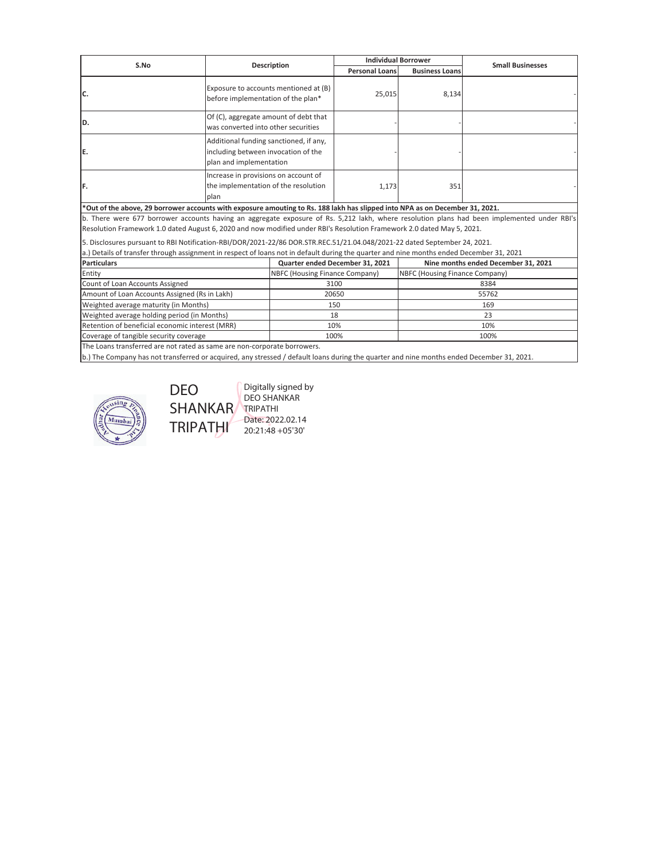| <b>Description</b>                                                                                                                          |                                                                                                | <b>Individual Borrower</b> |                                                                           | <b>Small Businesses</b>             |
|---------------------------------------------------------------------------------------------------------------------------------------------|------------------------------------------------------------------------------------------------|----------------------------|---------------------------------------------------------------------------|-------------------------------------|
|                                                                                                                                             |                                                                                                | <b>Personal Loans</b>      | <b>Business Loans</b>                                                     |                                     |
| Exposure to accounts mentioned at (B)<br>before implementation of the plan*                                                                 |                                                                                                |                            |                                                                           |                                     |
| Of (C), aggregate amount of debt that<br>was converted into other securities                                                                |                                                                                                |                            |                                                                           |                                     |
| Additional funding sanctioned, if any,<br>including between invocation of the<br>plan and implementation                                    |                                                                                                |                            |                                                                           |                                     |
| Increase in provisions on account of<br>the implementation of the resolution<br>plan                                                        |                                                                                                |                            | 351                                                                       |                                     |
| *Out of the above, 29 borrower accounts with exposure amouting to Rs. 188 lakh has slipped into NPA as on December 31, 2021.                |                                                                                                |                            |                                                                           |                                     |
| b. There were 677 borrower accounts having an aggregate exposure of Rs. 5,212 lakh, where resolution plans had been implemented under RBI's |                                                                                                |                            |                                                                           |                                     |
| Resolution Framework 1.0 dated August 6, 2020 and now modified under RBI's Resolution Framework 2.0 dated May 5, 2021.                      |                                                                                                |                            |                                                                           |                                     |
| 5. Disclosures pursuant to RBI Notification-RBI/DOR/2021-22/86 DOR.STR.REC.51/21.04.048/2021-22 dated September 24, 2021.                   |                                                                                                |                            |                                                                           |                                     |
| a.) Details of transfer through assignment in respect of loans not in default during the quarter and nine months ended December 31, 2021    |                                                                                                |                            |                                                                           |                                     |
| <b>Particulars</b>                                                                                                                          |                                                                                                |                            |                                                                           | Nine months ended December 31, 2021 |
| Entity                                                                                                                                      |                                                                                                |                            | NBFC (Housing Finance Company)                                            |                                     |
| Count of Loan Accounts Assigned                                                                                                             |                                                                                                | 3100<br>8384               |                                                                           |                                     |
| Amount of Loan Accounts Assigned (Rs in Lakh)                                                                                               |                                                                                                | 20650<br>55762             |                                                                           |                                     |
| Weighted average maturity (in Months)                                                                                                       |                                                                                                | 150<br>169                 |                                                                           |                                     |
| Weighted average holding period (in Months)                                                                                                 |                                                                                                | 23<br>18                   |                                                                           |                                     |
| Retention of beneficial economic interest (MRR)                                                                                             |                                                                                                | 10%<br>10%                 |                                                                           |                                     |
|                                                                                                                                             |                                                                                                |                            |                                                                           | 100%                                |
|                                                                                                                                             | Coverage of tangible security coverage<br>The League beauthoused and welcoked as several and a | متماسيات المتقسمة          | Quarter ended December 31, 2021<br>NBFC (Housing Finance Company)<br>100% | 25,015<br>8,134<br>1,173            |

The Loans transferred are not rated as same are non-corporate borrowers.

DEO

**TRIPATHI** 

b.) The Company has not transferred or acquired, any stressed / default loans during the quarter and nine months ended December 31, 2021.



SHANKAR Digitally signed by DEO SHANKAR TRIPATHI Date: 2022.02.14 20:21:48 +05'30'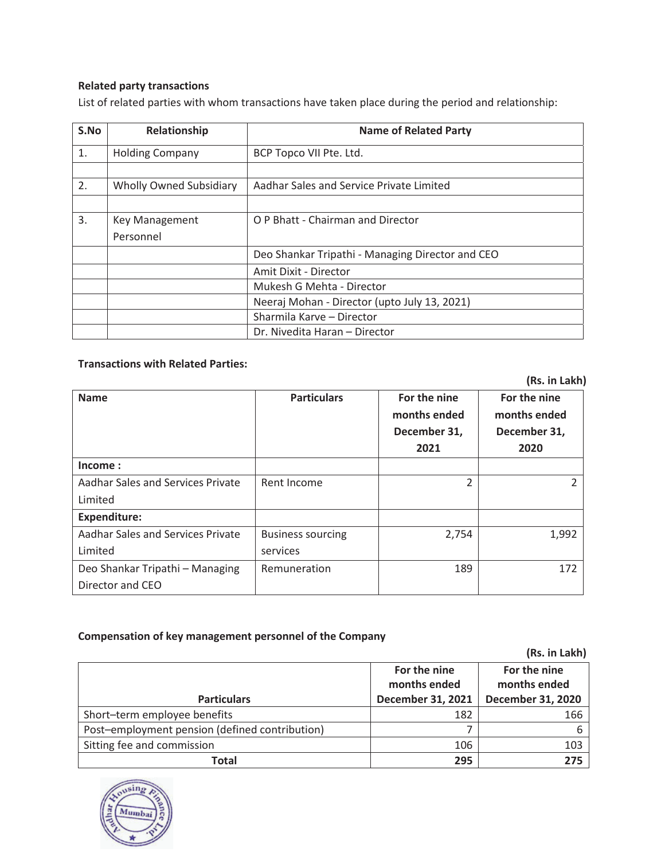# **Related party transactions**

List of related parties with whom transactions have taken place during the period and relationship:

| S.No | Relationship                   | <b>Name of Related Party</b>                     |
|------|--------------------------------|--------------------------------------------------|
| 1.   | <b>Holding Company</b>         | BCP Topco VII Pte. Ltd.                          |
|      |                                |                                                  |
| 2.   | <b>Wholly Owned Subsidiary</b> | Aadhar Sales and Service Private Limited         |
|      |                                |                                                  |
| 3.   | <b>Key Management</b>          | O P Bhatt - Chairman and Director                |
|      | Personnel                      |                                                  |
|      |                                | Deo Shankar Tripathi - Managing Director and CEO |
|      |                                | Amit Dixit - Director                            |
|      |                                | Mukesh G Mehta - Director                        |
|      |                                | Neeraj Mohan - Director (upto July 13, 2021)     |
|      |                                | Sharmila Karve - Director                        |
|      |                                | Dr. Nivedita Haran - Director                    |

## **Transactions with Related Parties:**

 **(Rs. in Lakh)** 

| <b>Name</b>                       | <b>Particulars</b>       | For the nine<br>months ended<br>December 31,<br>2021 | For the nine<br>months ended<br>December 31,<br>2020 |
|-----------------------------------|--------------------------|------------------------------------------------------|------------------------------------------------------|
| Income:                           |                          |                                                      |                                                      |
| Aadhar Sales and Services Private | Rent Income              | 2                                                    | $\mathcal{L}$                                        |
| Limited                           |                          |                                                      |                                                      |
| <b>Expenditure:</b>               |                          |                                                      |                                                      |
| Aadhar Sales and Services Private | <b>Business sourcing</b> | 2,754                                                | 1,992                                                |
| Limited                           | services                 |                                                      |                                                      |
| Deo Shankar Tripathi - Managing   | Remuneration             | 189                                                  | 172                                                  |
| Director and CEO                  |                          |                                                      |                                                      |

# **Compensation of key management personnel of the Company**

|                                                |                              | (Rs. in Lakh)                |
|------------------------------------------------|------------------------------|------------------------------|
|                                                | For the nine<br>months ended | For the nine<br>months ended |
| <b>Particulars</b>                             | December 31, 2021            | <b>December 31, 2020</b>     |
| Short-term employee benefits                   | 182                          | 166                          |
| Post-employment pension (defined contribution) |                              | 6                            |
| Sitting fee and commission                     | 106                          | 103                          |
| Total                                          | 295                          | 275                          |